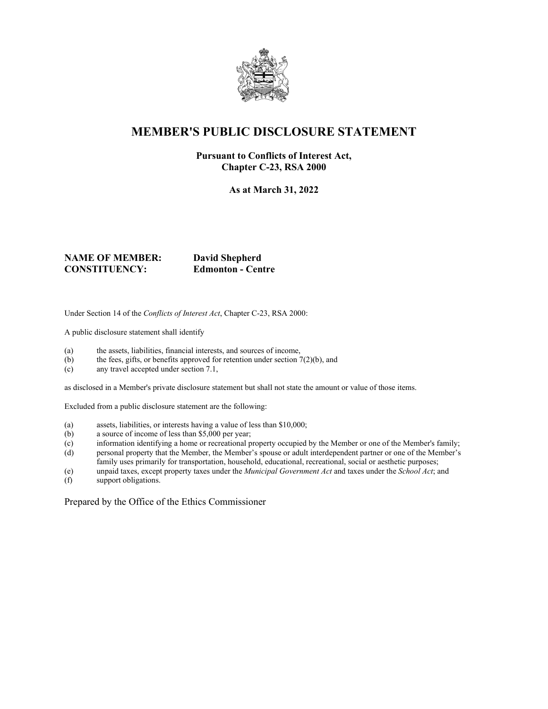

## **MEMBER'S PUBLIC DISCLOSURE STATEMENT**

#### **Pursuant to Conflicts of Interest Act, Chapter C-23, RSA 2000**

**As at March 31, 2022**

### **NAME OF MEMBER: David Shepherd CONSTITUENCY: Edmonton - Centre**

Under Section 14 of the *Conflicts of Interest Act*, Chapter C-23, RSA 2000:

A public disclosure statement shall identify

- (a) the assets, liabilities, financial interests, and sources of income,
- (b) the fees, gifts, or benefits approved for retention under section  $7(2)(b)$ , and
- (c) any travel accepted under section 7.1,

as disclosed in a Member's private disclosure statement but shall not state the amount or value of those items.

Excluded from a public disclosure statement are the following:

- (a) assets, liabilities, or interests having a value of less than \$10,000;
- (b) a source of income of less than \$5,000 per year;
- (c) information identifying a home or recreational property occupied by the Member or one of the Member's family;
- (d) personal property that the Member, the Member's spouse or adult interdependent partner or one of the Member's family uses primarily for transportation, household, educational, recreational, social or aesthetic purposes;
- (e) unpaid taxes, except property taxes under the *Municipal Government Act* and taxes under the *School Act*; and
- support obligations.

Prepared by the Office of the Ethics Commissioner